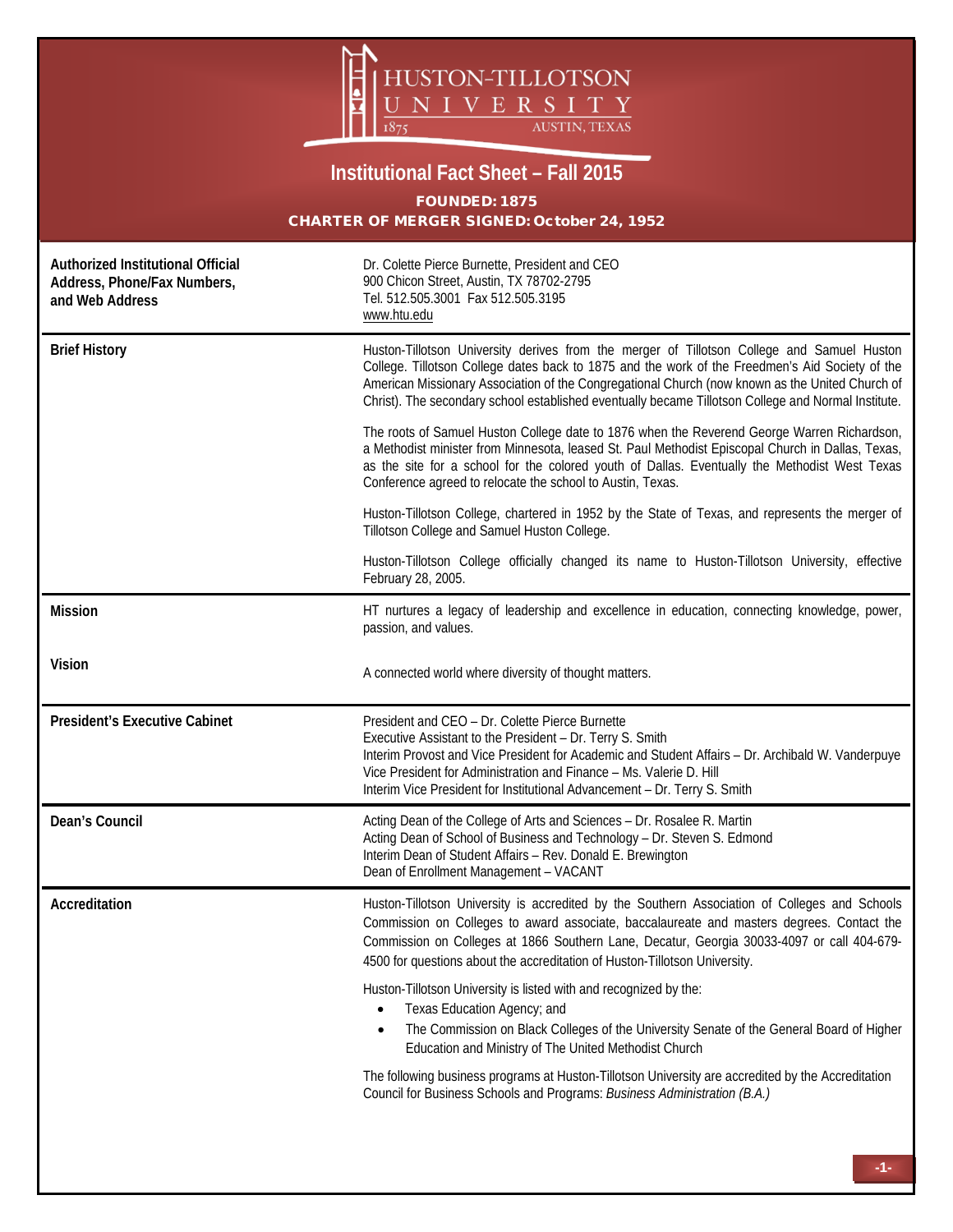

## **Institutional Fact Sheet – Fall 2015** FOUNDED: 1875 CHARTER OF MERGER SIGNED: October 24, 1952

| Authorized Institutional Official<br>Address, Phone/Fax Numbers,<br>and Web Address | Dr. Colette Pierce Burnette, President and CEO<br>900 Chicon Street, Austin, TX 78702-2795<br>Tel. 512.505.3001 Fax 512.505.3195<br>www.htu.edu                                                                                                                                                                                                                                                         |  |  |  |
|-------------------------------------------------------------------------------------|---------------------------------------------------------------------------------------------------------------------------------------------------------------------------------------------------------------------------------------------------------------------------------------------------------------------------------------------------------------------------------------------------------|--|--|--|
| <b>Brief History</b>                                                                | Huston-Tillotson University derives from the merger of Tillotson College and Samuel Huston<br>College. Tillotson College dates back to 1875 and the work of the Freedmen's Aid Society of the<br>American Missionary Association of the Congregational Church (now known as the United Church of<br>Christ). The secondary school established eventually became Tillotson College and Normal Institute. |  |  |  |
|                                                                                     | The roots of Samuel Huston College date to 1876 when the Reverend George Warren Richardson,<br>a Methodist minister from Minnesota, leased St. Paul Methodist Episcopal Church in Dallas, Texas,<br>as the site for a school for the colored youth of Dallas. Eventually the Methodist West Texas<br>Conference agreed to relocate the school to Austin, Texas.                                         |  |  |  |
|                                                                                     | Huston-Tillotson College, chartered in 1952 by the State of Texas, and represents the merger of<br>Tillotson College and Samuel Huston College.                                                                                                                                                                                                                                                         |  |  |  |
|                                                                                     | Huston-Tillotson College officially changed its name to Huston-Tillotson University, effective<br>February 28, 2005.                                                                                                                                                                                                                                                                                    |  |  |  |
| <b>Mission</b>                                                                      | HT nurtures a legacy of leadership and excellence in education, connecting knowledge, power,<br>passion, and values.                                                                                                                                                                                                                                                                                    |  |  |  |
| <b>Vision</b>                                                                       | A connected world where diversity of thought matters.                                                                                                                                                                                                                                                                                                                                                   |  |  |  |
| <b>President's Executive Cabinet</b>                                                | President and CEO - Dr. Colette Pierce Burnette<br>Executive Assistant to the President - Dr. Terry S. Smith<br>Interim Provost and Vice President for Academic and Student Affairs - Dr. Archibald W. Vanderpuye<br>Vice President for Administration and Finance - Ms. Valerie D. Hill<br>Interim Vice President for Institutional Advancement - Dr. Terry S. Smith                                   |  |  |  |
| Dean's Council                                                                      | Acting Dean of the College of Arts and Sciences - Dr. Rosalee R. Martin<br>Acting Dean of School of Business and Technology - Dr. Steven S. Edmond<br>Interim Dean of Student Affairs - Rev. Donald E. Brewington<br>Dean of Enrollment Management - VACANT                                                                                                                                             |  |  |  |
| Accreditation                                                                       | Huston-Tillotson University is accredited by the Southern Association of Colleges and Schools<br>Commission on Colleges to award associate, baccalaureate and masters degrees. Contact the<br>Commission on Colleges at 1866 Southern Lane, Decatur, Georgia 30033-4097 or call 404-679-<br>4500 for questions about the accreditation of Huston-Tillotson University.                                  |  |  |  |
|                                                                                     | Huston-Tillotson University is listed with and recognized by the:<br>Texas Education Agency; and<br>The Commission on Black Colleges of the University Senate of the General Board of Higher<br>Education and Ministry of The United Methodist Church                                                                                                                                                   |  |  |  |
|                                                                                     | The following business programs at Huston-Tillotson University are accredited by the Accreditation<br>Council for Business Schools and Programs: Business Administration (B.A.)                                                                                                                                                                                                                         |  |  |  |